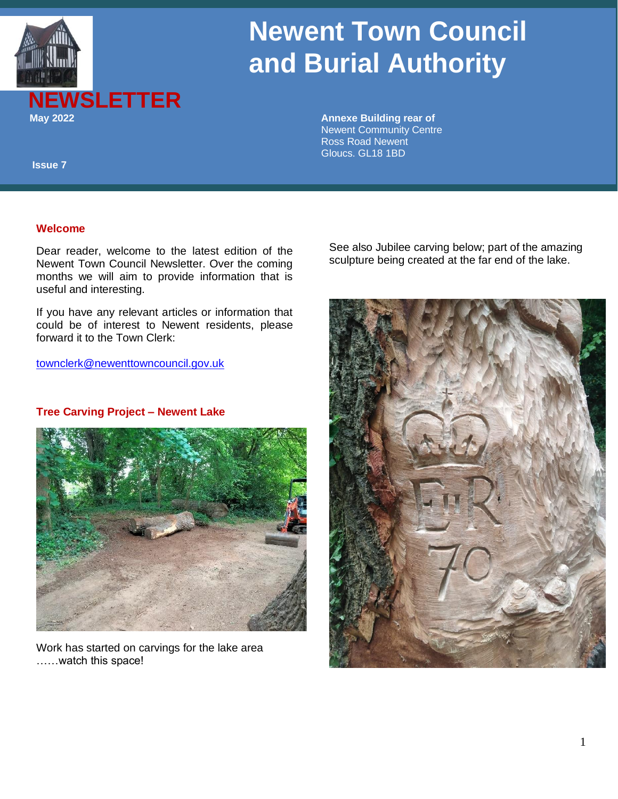

# **Newent Town Council and Burial Authority**

 Newent Community Centre Ross Road Newent Gloucs. GL18 1BD

 **Issue 7**

#### **Welcome**

Dear reader, welcome to the latest edition of the Newent Town Council Newsletter. Over the coming months we will aim to provide information that is useful and interesting.

If you have any relevant articles or information that could be of interest to Newent residents, please forward it to the Town Clerk:

[townclerk@newenttowncouncil.gov.uk](mailto:townclerk@newenttowncouncil.gov.uk)

#### **Tree Carving Project – Newent Lake**



Work has started on carvings for the lake area ……watch this space!

See also Jubilee carving below; part of the amazing sculpture being created at the far end of the lake.

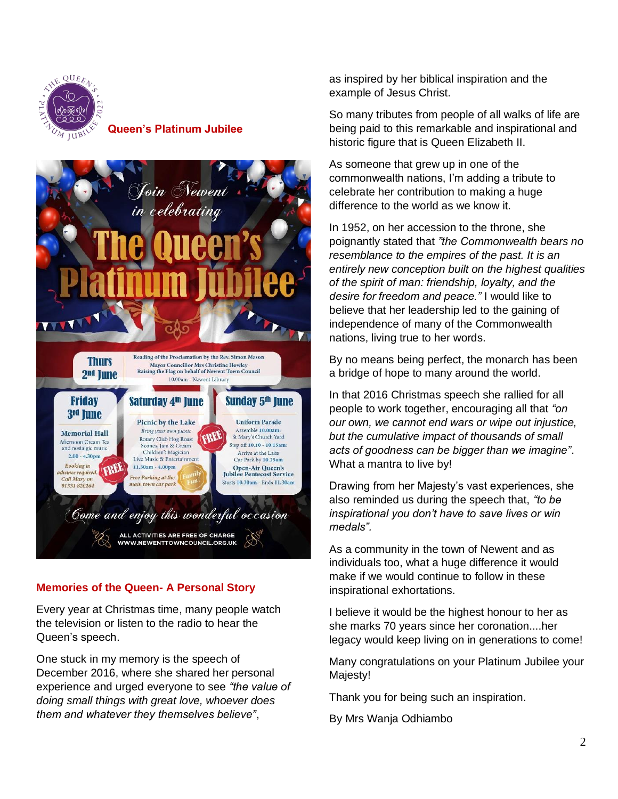

## **Queen's Platinum Jubilee**



## **Memories of the Queen- A Personal Story**

Every year at Christmas time, many people watch the television or listen to the radio to hear the Queen's speech.

One stuck in my memory is the speech of December 2016, where she shared her personal experience and urged everyone to see *"the value of doing small things with great love, whoever does them and whatever they themselves believe"*,

as inspired by her biblical inspiration and the example of Jesus Christ.

So many tributes from people of all walks of life are being paid to this remarkable and inspirational and historic figure that is Queen Elizabeth II.

As someone that grew up in one of the commonwealth nations, I'm adding a tribute to celebrate her contribution to making a huge difference to the world as we know it.

In 1952, on her accession to the throne, she poignantly stated that *"the Commonwealth bears no resemblance to the empires of the past. It is an entirely new conception built on the highest qualities of the spirit of man: friendship, loyalty, and the desire for freedom and peace."* I would like to believe that her leadership led to the gaining of independence of many of the Commonwealth nations, living true to her words.

By no means being perfect, the monarch has been a bridge of hope to many around the world.

In that 2016 Christmas speech she rallied for all people to work together, encouraging all that *"on our own, we cannot end wars or wipe out injustice, but the cumulative impact of thousands of small acts of goodness can be bigger than we imagine"*. What a mantra to live by!

Drawing from her Majesty's vast experiences, she also reminded us during the speech that, *"to be inspirational you don't have to save lives or win medals".*

As a community in the town of Newent and as individuals too, what a huge difference it would make if we would continue to follow in these inspirational exhortations.

I believe it would be the highest honour to her as she marks 70 years since her coronation....her legacy would keep living on in generations to come!

Many congratulations on your Platinum Jubilee your Majesty!

Thank you for being such an inspiration.

By Mrs Wanja Odhiambo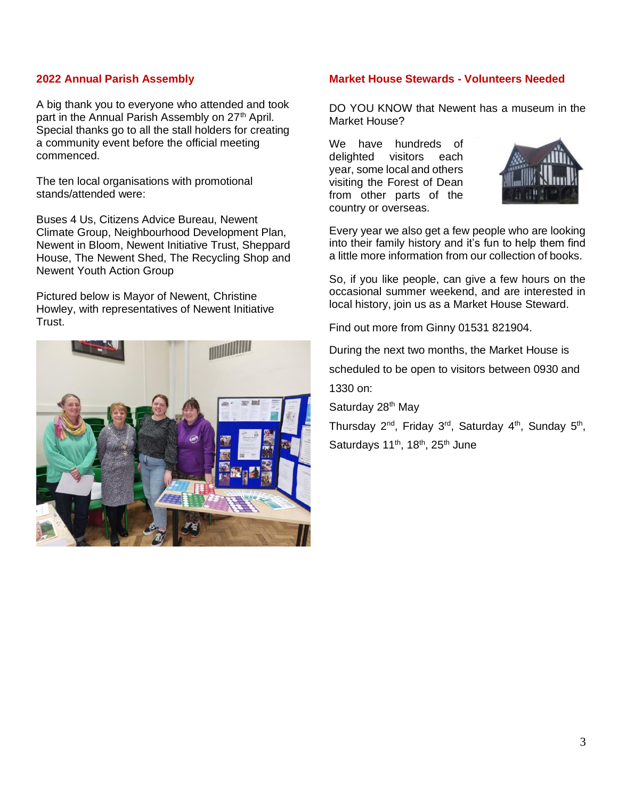#### **2022 Annual Parish Assembly**

A big thank you to everyone who attended and took part in the Annual Parish Assembly on 27<sup>th</sup> April. Special thanks go to all the stall holders for creating a community event before the official meeting commenced.

The ten local organisations with promotional stands/attended were:

Buses 4 Us, Citizens Advice Bureau, Newent Climate Group, Neighbourhood Development Plan, Newent in Bloom, Newent Initiative Trust, Sheppard House, The Newent Shed, The Recycling Shop and Newent Youth Action Group

Pictured below is Mayor of Newent, Christine Howley, with representatives of Newent Initiative Trust.



#### **Market House Stewards - Volunteers Needed**

DO YOU KNOW that Newent has a museum in the Market House?

We have hundreds of delighted visitors each year, some local and others visiting the Forest of Dean from other parts of the country or overseas.



Every year we also get a few people who are looking into their family history and it's fun to help them find a little more information from our collection of books.

So, if you like people, can give a few hours on the occasional summer weekend, and are interested in local history, join us as a Market House Steward.

Find out more from Ginny 01531 821904.

During the next two months, the Market House is

scheduled to be open to visitors between 0930 and

1330 on:

Saturday 28<sup>th</sup> May

Thursday 2<sup>nd</sup>, Friday 3<sup>rd</sup>, Saturday 4<sup>th</sup>, Sunday 5<sup>th</sup>, Saturdays 11<sup>th</sup>, 18<sup>th</sup>, 25<sup>th</sup> June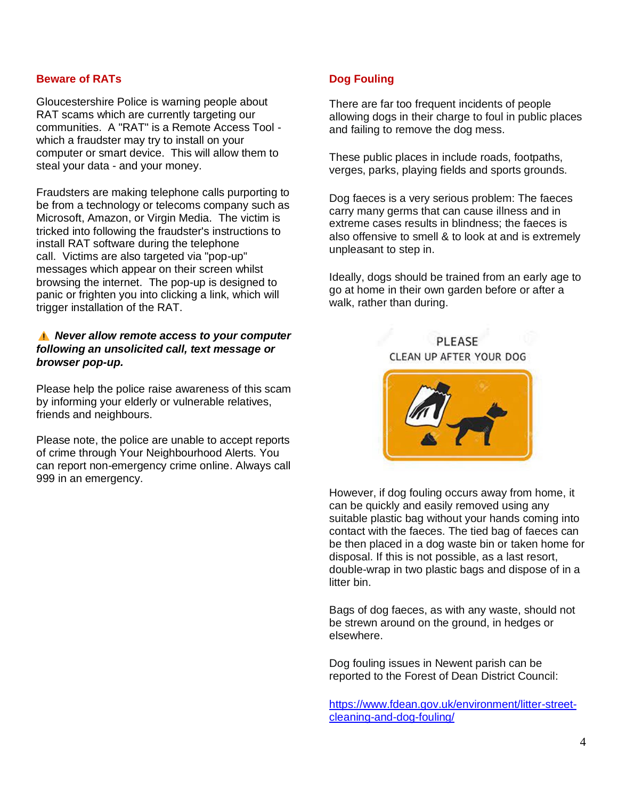#### **Beware of RATs**

Gloucestershire Police is warning people about RAT scams which are currently targeting our communities. A "RAT" is a Remote Access Tool which a fraudster may try to install on your computer or smart device. This will allow them to steal your data - and your money.

Fraudsters are making telephone calls purporting to be from a technology or telecoms company such as Microsoft, Amazon, or Virgin Media. The victim is tricked into following the fraudster's instructions to install RAT software during the telephone call. Victims are also targeted via "pop-up" messages which appear on their screen whilst browsing the internet. The pop-up is designed to panic or frighten you into clicking a link, which will trigger installation of the RAT.

#### *Never allow remote access to your computer following an unsolicited call, text message or browser pop-up.*

Please help the police raise awareness of this scam by informing your elderly or vulnerable relatives, friends and neighbours.

Please note, the police are unable to accept reports of crime through Your Neighbourhood Alerts. You can report non-emergency crime online. Always call 999 in an emergency.

#### **Dog Fouling**

There are far too frequent incidents of people allowing dogs in their charge to foul in public places and failing to remove the dog mess.

These public places in include roads, footpaths, verges, parks, playing fields and sports grounds.

Dog faeces is a very serious problem: The faeces carry many germs that can cause illness and in extreme cases results in blindness; the faeces is also offensive to smell & to look at and is extremely unpleasant to step in.

Ideally, dogs should be trained from an early age to go at home in their own garden before or after a walk, rather than during.

PLEASE CLEAN UP AFTER YOUR DOG



However, if dog fouling occurs away from home, it can be quickly and easily removed using any suitable plastic bag without your hands coming into contact with the faeces. The tied bag of faeces can be then placed in a dog waste bin or taken home for disposal. If this is not possible, as a last resort, double-wrap in two plastic bags and dispose of in a litter bin.

Bags of dog faeces, as with any waste, should not be strewn around on the ground, in hedges or elsewhere.

Dog fouling issues in Newent parish can be reported to the Forest of Dean District Council:

[https://www.fdean.gov.uk/environment/litter-street](https://www.fdean.gov.uk/environment/litter-street-cleaning-and-dog-fouling/)[cleaning-and-dog-fouling/](https://www.fdean.gov.uk/environment/litter-street-cleaning-and-dog-fouling/)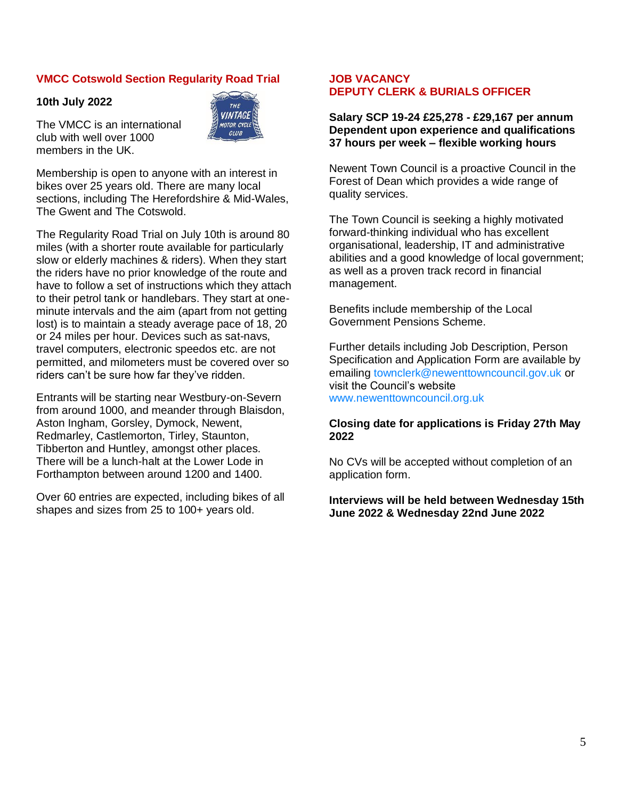#### **VMCC Cotswold Section Regularity Road Trial**

#### **10th July 2022**

The VMCC is an international club with well over 1000 members in the UK.



Membership is open to anyone with an interest in bikes over 25 years old. There are many local sections, including The Herefordshire & Mid-Wales, The Gwent and The Cotswold.

The Regularity Road Trial on July 10th is around 80 miles (with a shorter route available for particularly slow or elderly machines & riders). When they start the riders have no prior knowledge of the route and have to follow a set of instructions which they attach to their petrol tank or handlebars. They start at oneminute intervals and the aim (apart from not getting lost) is to maintain a steady average pace of 18, 20 or 24 miles per hour. Devices such as sat-navs, travel computers, electronic speedos etc. are not permitted, and milometers must be covered over so riders can't be sure how far they've ridden.

Entrants will be starting near Westbury-on-Severn from around 1000, and meander through Blaisdon, Aston Ingham, Gorsley, Dymock, Newent, Redmarley, Castlemorton, Tirley, Staunton, Tibberton and Huntley, amongst other places. There will be a lunch-halt at the Lower Lode in Forthampton between around 1200 and 1400.

Over 60 entries are expected, including bikes of all shapes and sizes from 25 to 100+ years old.

#### **JOB VACANCY DEPUTY CLERK & BURIALS OFFICER**

**Salary SCP 19-24 £25,278 - £29,167 per annum Dependent upon experience and qualifications 37 hours per week – flexible working hours**

Newent Town Council is a proactive Council in the Forest of Dean which provides a wide range of quality services.

The Town Council is seeking a highly motivated forward-thinking individual who has excellent organisational, leadership, IT and administrative abilities and a good knowledge of local government; as well as a proven track record in financial management.

Benefits include membership of the Local Government Pensions Scheme.

Further details including Job Description, Person Specification and Application Form are available by emailing townclerk@newenttowncouncil.gov.uk or visit the Council's website www.newenttowncouncil.org.uk

#### **Closing date for applications is Friday 27th May 2022**

No CVs will be accepted without completion of an application form.

#### **Interviews will be held between Wednesday 15th June 2022 & Wednesday 22nd June 2022**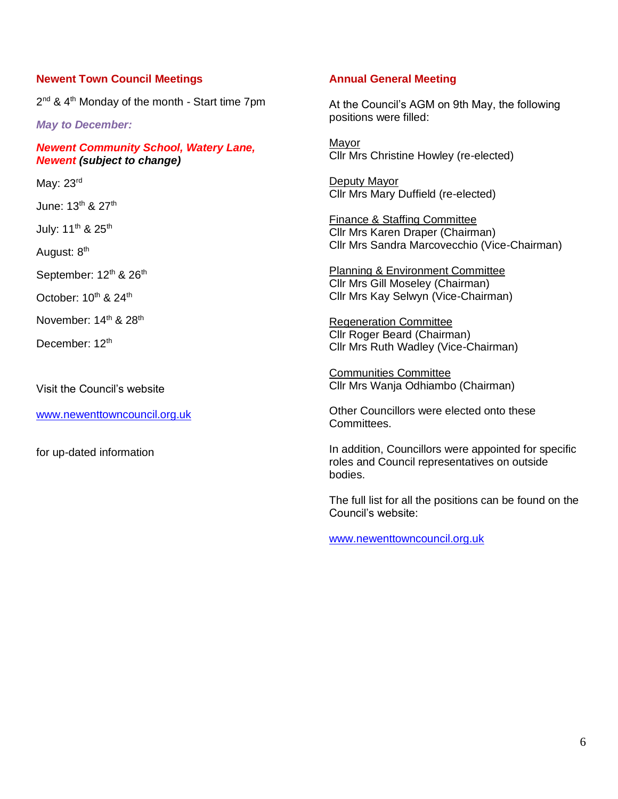#### **Newent Town Council Meetings**

2<sup>nd</sup> & 4<sup>th</sup> Monday of the month - Start time 7pm

*May to December:*

*Newent Community School, Watery Lane, Newent (subject to change)*

May: 23rd

June: 13<sup>th</sup> & 27<sup>th</sup>

July: 11<sup>th</sup> & 25<sup>th</sup>

August: 8<sup>th</sup>

September: 12<sup>th</sup> & 26<sup>th</sup>

October: 10<sup>th</sup> & 24<sup>th</sup>

November: 14<sup>th</sup> & 28<sup>th</sup>

December: 12<sup>th</sup>

Visit the Council's website

[www.newenttowncouncil.org.uk](http://www.newenttowncouncil.org.uk/)

for up-dated information

#### **Annual General Meeting**

At the Council's AGM on 9th May, the following positions were filled:

Mayor Cllr Mrs Christine Howley (re-elected)

Deputy Mayor Cllr Mrs Mary Duffield (re-elected)

Finance & Staffing Committee Cllr Mrs Karen Draper (Chairman) Cllr Mrs Sandra Marcovecchio (Vice-Chairman)

Planning & Environment Committee Cllr Mrs Gill Moseley (Chairman) Cllr Mrs Kay Selwyn (Vice-Chairman)

Regeneration Committee Cllr Roger Beard (Chairman) Cllr Mrs Ruth Wadley (Vice-Chairman)

Communities Committee Cllr Mrs Wanja Odhiambo (Chairman)

Other Councillors were elected onto these Committees.

In addition, Councillors were appointed for specific roles and Council representatives on outside bodies.

The full list for all the positions can be found on the Council's website:

[www.newenttowncouncil.org.uk](http://www.newenttowncouncil.org.uk/)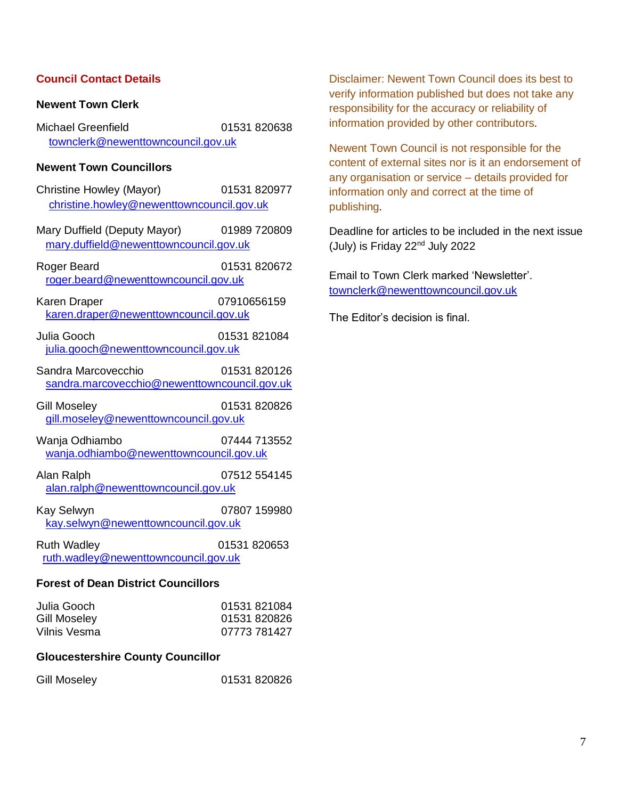## **Council Contact Details**

#### **Newent Town Clerk**

Michael Greenfield 01531 820638 [townclerk@newenttowncouncil.gov.uk](mailto:townclerk@newenttowncouncil.gov.uk)

## **Newent Town Councillors**

| Christine Howley (Mayor)<br>christine.howley@newenttowncouncil.gov.uk  | 01531 820977 |  |  |  |
|------------------------------------------------------------------------|--------------|--|--|--|
| Mary Duffield (Deputy Mayor)<br>mary.duffield@newenttowncouncil.gov.uk | 01989 720809 |  |  |  |
| Roger Beard<br>roger.beard@newenttowncouncil.gov.uk                    | 01531 820672 |  |  |  |
| Karen Draper<br>karen.draper@newenttowncouncil.gov.uk                  | 07910656159  |  |  |  |
| Julia Gooch<br>julia.gooch@newenttowncouncil.gov.uk                    | 01531 821084 |  |  |  |
| Sandra Marcovecchio<br>sandra.marcovecchio@newenttowncouncil.gov.uk    | 01531 820126 |  |  |  |
| <b>Gill Moseley</b><br>gill.moseley@newenttowncouncil.gov.uk           | 01531 820826 |  |  |  |
| Wanja Odhiambo<br>wanja.odhiambo@newenttowncouncil.gov.uk              | 07444 713552 |  |  |  |
| Alan Ralph<br>alan.ralph@newenttowncouncil.gov.uk                      | 07512 554145 |  |  |  |
| Kay Selwyn<br>kay.selwyn@newenttowncouncil.gov.uk                      | 07807 159980 |  |  |  |
| <b>Ruth Wadley</b><br>ruth.wadley@newenttowncouncil.gov.uk             | 01531 820653 |  |  |  |
| <b>Forest of Dean District Councillors</b>                             |              |  |  |  |

| Julia Gooch  | 01531 821084 |
|--------------|--------------|
| Gill Moseley | 01531 820826 |
| Vilnis Vesma | 07773 781427 |

#### **Gloucestershire County Councillor**

| Gill Moseley | 01531 820826 |
|--------------|--------------|
|--------------|--------------|

Disclaimer: Newent Town Council does its best to verify information published but does not take any responsibility for the accuracy or reliability of information provided by other contributors.

Newent Town Council is not responsible for the content of external sites nor is it an endorsement of any organisation or service – details provided for information only and correct at the time of publishing*.*

Deadline for articles to be included in the next issue (July) is Friday 22<sup>nd</sup> July 2022

Email to Town Clerk marked 'Newsletter'. [townclerk@newenttowncouncil.gov.uk](mailto:townclerk@newenttowncouncil.gov.uk)

The Editor's decision is final.